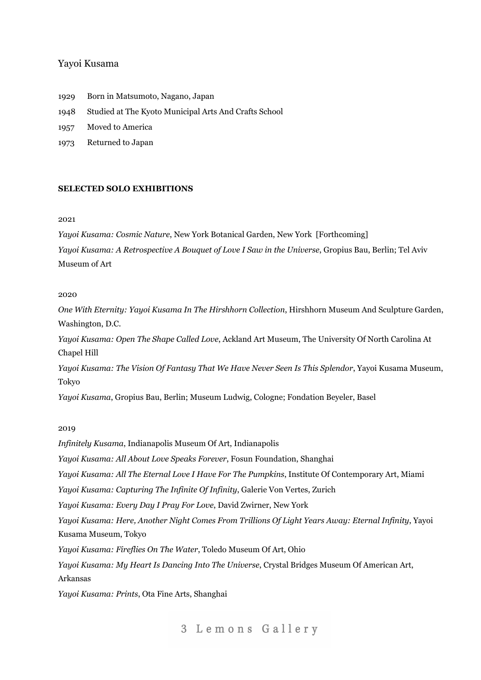# Yayoi Kusama

- 1929 Born in Matsumoto, Nagano, Japan
- 1948 Studied at The Kyoto Municipal Arts And Crafts School
- 1957 Moved to America
- 1973 Returned to Japan

## **SELECTED SOLO EXHIBITIONS**

### 2021

*Yayoi Kusama: Cosmic Nature*, New York Botanical Garden, New York [Forthcoming]

*Yayoi Kusama: A Retrospective A Bouquet of Love I Saw in the Universe*, Gropius Bau, Berlin; Tel Aviv Museum of Art

## 2020

*One With Eternity: Yayoi Kusama In The Hirshhorn Collection*, Hirshhorn Museum And Sculpture Garden, Washington, D.C.

*Yayoi Kusama: Open The Shape Called Love*, Ackland Art Museum, The University Of North Carolina At Chapel Hill

*Yayoi Kusama: The Vision Of Fantasy That We Have Never Seen Is This Splendor*, Yayoi Kusama Museum, Tokyo

*Yayoi Kusama*, Gropius Bau, Berlin; Museum Ludwig, Cologne; Fondation Beyeler, Basel

# 2019

*Infinitely Kusama*, Indianapolis Museum Of Art, Indianapolis

*Yayoi Kusama: All About Love Speaks Forever*, Fosun Foundation, Shanghai

*Yayoi Kusama: All The Eternal Love I Have For The Pumpkins*, Institute Of Contemporary Art, Miami

*Yayoi Kusama: Capturing The Infinite Of Infinity*, Galerie Von Vertes, Zurich

*Yayoi Kusama: Every Day I Pray For Love*, David Zwirner, New York

*Yayoi Kusama: Here, Another Night Comes From Trillions Of Light Years Away: Eternal Infinity*, Yayoi Kusama Museum, Tokyo

*Yayoi Kusama: Fireflies On The Water*, Toledo Museum Of Art, Ohio

*Yayoi Kusama: My Heart Is Dancing Into The Universe*, Crystal Bridges Museum Of American Art, Arkansas

*Yayoi Kusama: Prints*, Ota Fine Arts, Shanghai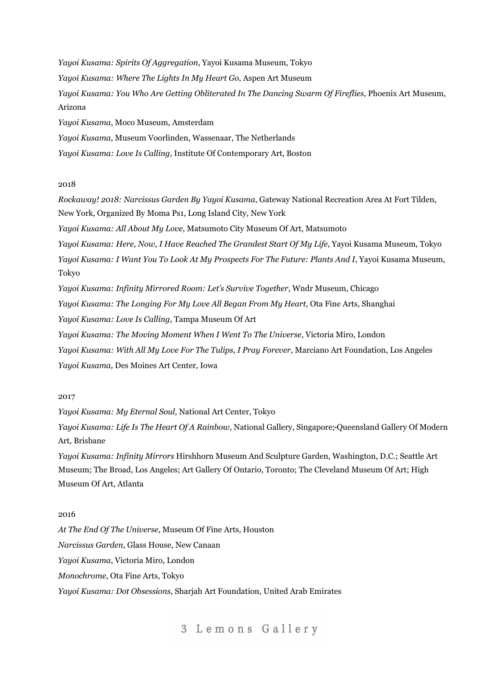*Yayoi Kusama: Spirits Of Aggregation*, Yayoi Kusama Museum, Tokyo *Yayoi Kusama: Where The Lights In My Heart Go*, Aspen Art Museum *Yayoi Kusama: You Who Are Getting Obliterated In The Dancing Swarm Of Fireflies*, Phoenix Art Museum, Arizona *Yayoi Kusama*, Moco Museum, Amsterdam *Yayoi Kusama*, Museum Voorlinden, Wassenaar, The Netherlands *Yayoi Kusama: Love Is Calling*, Institute Of Contemporary Art, Boston

### 2018

*Rockaway! 2018: Narcissus Garden By Yayoi Kusama*, Gateway National Recreation Area At Fort Tilden, New York, Organized By Moma Ps1, Long Island City, New York

*Yayoi Kusama: All About My Love,* Matsumoto City Museum Of Art, Matsumoto

*Yayoi Kusama: Here, Now, I Have Reached The Grandest Start Of My Life*, Yayoi Kusama Museum, Tokyo

*Yayoi Kusama: I Want You To Look At My Prospects For The Future: Plants And I*, Yayoi Kusama Museum, Tokyo

*Yayoi Kusama: Infinity Mirrored Room: Let's Survive Together*, Wndr Museum, Chicago

*Yayoi Kusama: The Longing For My Love All Began From My Heart*, Ota Fine Arts, Shanghai

*Yayoi Kusama: Love Is Calling*, Tampa Museum Of Art

*Yayoi Kusama: The Moving Moment When I Went To The Universe*, Victoria Miro, London

*Yayoi Kusama: With All My Love For The Tulips, I Pray Forever*, Marciano Art Foundation, Los Angeles *Yayoi Kusama,* Des Moines Art Center, Iowa

## 2017

*Yayoi Kusama: My Eternal Soul*, National Art Center, Tokyo

*Yayoi Kusama: Life Is The Heart Of A Rainbow*, National Gallery, Singapore; Queensland Gallery Of Modern Art, Brisbane

*Yayoi Kusama: Infinity Mirrors* Hirshhorn Museum And Sculpture Garden, Washington, D.C.; Seattle Art Museum; The Broad, Los Angeles; Art Gallery Of Ontario, Toronto; The Cleveland Museum Of Art; High Museum Of Art, Atlanta

## 2016

*At The End Of The Universe*, Museum Of Fine Arts, Houston *Narcissus Garden*, Glass House, New Canaan *Yayoi Kusama*, Victoria Miro, London *Monochrome*, Ota Fine Arts, Tokyo *Yayoi Kusama: Dot Obsessions*, Sharjah Art Foundation, United Arab Emirates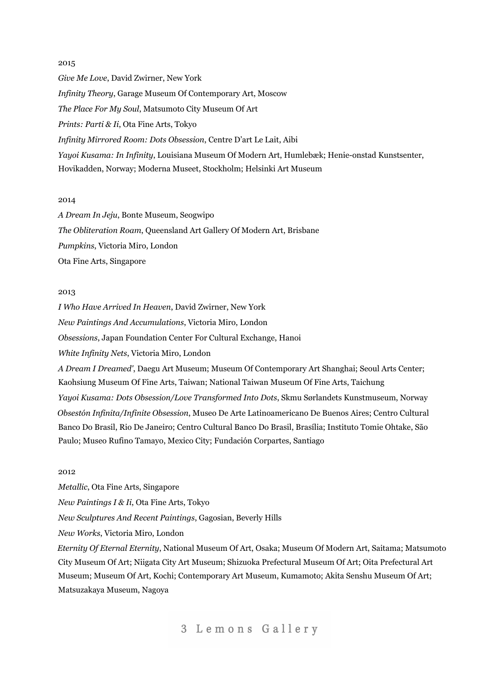*Give Me Love*, David Zwirner, New York *Infinity Theory*, Garage Museum Of Contemporary Art, Moscow *The Place For My Soul*, Matsumoto City Museum Of Art *Prints: Parti & Ii*, Ota Fine Arts, Tokyo *Infinity Mirrored Room: Dots Obsession*, Centre D'art Le Lait, Aibi *Yayoi Kusama: In Infinity*, Louisiana Museum Of Modern Art, Humlebæk; Henie-onstad Kunstsenter, Hovikadden, Norway; Moderna Museet, Stockholm; Helsinki Art Museum

### 2014

*A Dream In Jeju*, Bonte Museum, Seogwipo *The Obliteration Roam*, Queensland Art Gallery Of Modern Art, Brisbane *Pumpkins*, Victoria Miro, London Ota Fine Arts, Singapore

## 2013

*I Who Have Arrived In Heaven*, David Zwirner, New York *New Paintings And Accumulations*, Victoria Miro, London *Obsessions*, Japan Foundation Center For Cultural Exchange, Hanoi *White Infinity Nets*, Victoria Miro, London *A Dream I Dreamed'*, Daegu Art Museum; Museum Of Contemporary Art Shanghai; Seoul Arts Center; Kaohsiung Museum Of Fine Arts, Taiwan; National Taiwan Museum Of Fine Arts, Taichung *Yayoi Kusama: Dots Obsession/Love Transformed Into Dots*, Skmu Sørlandets Kunstmuseum, Norway *Obsestón Infinita/Infinite Obsession*, Museo De Arte Latinoamericano De Buenos Aires; Centro Cultural Banco Do Brasil, Rio De Janeiro; Centro Cultural Banco Do Brasil, Brasília; Instituto Tomie Ohtake, São Paulo; Museo Rufino Tamayo, Mexico City; Fundación Corpartes, Santiago

# 2012

*Metallic*, Ota Fine Arts, Singapore *New Paintings I & Ii*, Ota Fine Arts, Tokyo *New Sculptures And Recent Paintings*, Gagosian, Beverly Hills *New Works*, Victoria Miro, London *Eternity Of Eternal Eternity*, National Museum Of Art, Osaka; Museum Of Modern Art, Saitama; Matsumoto City Museum Of Art; Niigata City Art Museum; Shizuoka Prefectural Museum Of Art; Oita Prefectural Art Museum; Museum Of Art, Kochi; Contemporary Art Museum, Kumamoto; Akita Senshu Museum Of Art; Matsuzakaya Museum, Nagoya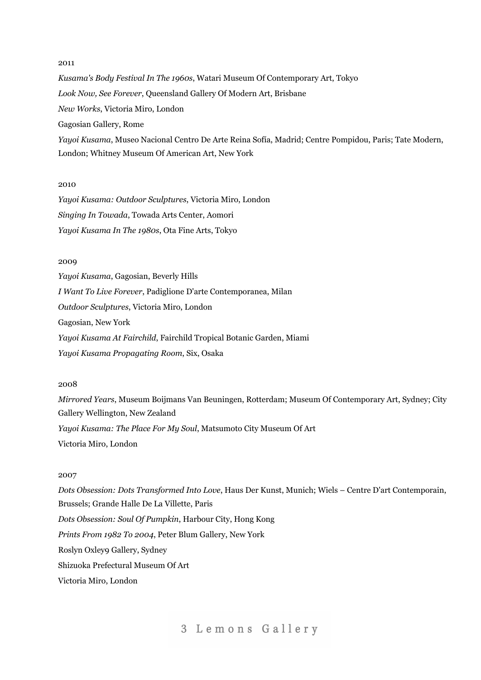*Kusama's Body Festival In The 1960s*, Watari Museum Of Contemporary Art, Tokyo *Look Now, See Forever*, Queensland Gallery Of Modern Art, Brisbane *New Works*, Victoria Miro, London Gagosian Gallery, Rome *Yayoi Kusama*, Museo Nacional Centro De Arte Reina Sofía, Madrid; Centre Pompidou, Paris; Tate Modern, London; Whitney Museum Of American Art, New York

# 2010

*Yayoi Kusama: Outdoor Sculptures*, Victoria Miro, London *Singing In Towada*, Towada Arts Center, Aomori *Yayoi Kusama In The 1980s*, Ota Fine Arts, Tokyo

# 2009

*Yayoi Kusama*, Gagosian, Beverly Hills *I Want To Live Forever*, Padiglione D'arte Contemporanea, Milan *Outdoor Sculptures*, Victoria Miro, London Gagosian, New York *Yayoi Kusama At Fairchild*, Fairchild Tropical Botanic Garden, Miami *Yayoi Kusama Propagating Room*, Six, Osaka

# 2008

*Mirrored Years*, Museum Boijmans Van Beuningen, Rotterdam; Museum Of Contemporary Art, Sydney; City Gallery Wellington, New Zealand *Yayoi Kusama: The Place For My Soul*, Matsumoto City Museum Of Art Victoria Miro, London

## 2007

*Dots Obsession: Dots Transformed Into Love*, Haus Der Kunst, Munich; Wiels – Centre D'art Contemporain, Brussels; Grande Halle De La Villette, Paris *Dots Obsession: Soul Of Pumpkin*, Harbour City, Hong Kong *Prints From 1982 To 2004*, Peter Blum Gallery, New York Roslyn Oxley9 Gallery, Sydney Shizuoka Prefectural Museum Of Art Victoria Miro, London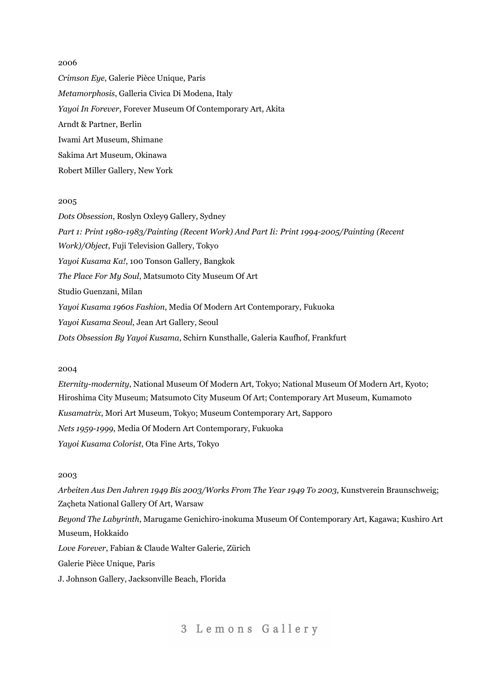*Crimson Eye*, Galerie Pièce Unique, Paris *Metamorphosis*, Galleria Civica Di Modena, Italy *Yayoi In Forever*, Forever Museum Of Contemporary Art, Akita Arndt & Partner, Berlin Iwami Art Museum, Shimane Sakima Art Museum, Okinawa Robert Miller Gallery, New York

### 2005

*Dots Obsession*, Roslyn Oxley9 Gallery, Sydney *Part 1: Print 1980-1983/Painting (Recent Work) And Part Ii: Print 1994-2005/Painting (Recent Work)/Object*, Fuji Television Gallery, Tokyo *Yayoi Kusama Ka!*, 100 Tonson Gallery, Bangkok *The Place For My Soul*, Matsumoto City Museum Of Art Studio Guenzani, Milan *Yayoi Kusama 1960s Fashion*, Media Of Modern Art Contemporary, Fukuoka *Yayoi Kusama Seoul*, Jean Art Gallery, Seoul *Dots Obsession By Yayoi Kusama*, Schirn Kunsthalle, Galeria Kaufhof, Frankfurt

#### 2004

*Eternity-modernity*, National Museum Of Modern Art, Tokyo; National Museum Of Modern Art, Kyoto; Hiroshima City Museum; Matsumoto City Museum Of Art; Contemporary Art Museum, Kumamoto *Kusamatrix*, Mori Art Museum, Tokyo; Museum Contemporary Art, Sapporo *Nets 1959-1999*, Media Of Modern Art Contemporary, Fukuoka *Yayoi Kusama Colorist*, Ota Fine Arts, Tokyo

## 2003

*Arbeiten Aus Den Jahren 1949 Bis 2003/Works From The Year 1949 To 2003*, Kunstverein Braunschweig; Zaçheta National Gallery Of Art, Warsaw *Beyond The Labyrinth*, Marugame Genichiro-inokuma Museum Of Contemporary Art, Kagawa; Kushiro Art Museum, Hokkaido *Love Forever*, Fabian & Claude Walter Galerie, Zürich Galerie Pièce Unique, Paris J. Johnson Gallery, Jacksonville Beach, Florida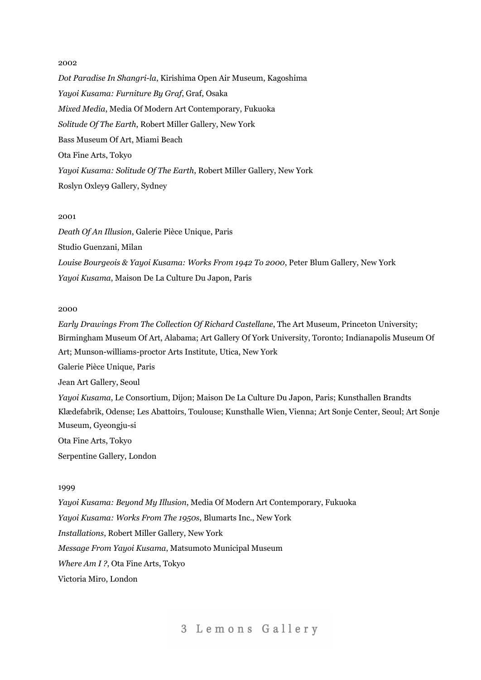*Dot Paradise In Shangri-la*, Kirishima Open Air Museum, Kagoshima *Yayoi Kusama: Furniture By Graf*, Graf, Osaka *Mixed Media*, Media Of Modern Art Contemporary, Fukuoka *Solitude Of The Earth*, Robert Miller Gallery, New York Bass Museum Of Art, Miami Beach Ota Fine Arts, Tokyo *Yayoi Kusama: Solitude Of The Earth*, Robert Miller Gallery, New York Roslyn Oxley9 Gallery, Sydney

# 2001

*Death Of An Illusion*, Galerie Pièce Unique, Paris Studio Guenzani, Milan *Louise Bourgeois & Yayoi Kusama: Works From 1942 To 2000*, Peter Blum Gallery, New York *Yayoi Kusama*, Maison De La Culture Du Japon, Paris

# 2000

*Early Drawings From The Collection Of Richard Castellane*, The Art Museum, Princeton University; Birmingham Museum Of Art, Alabama; Art Gallery Of York University, Toronto; Indianapolis Museum Of Art; Munson-williams-proctor Arts Institute, Utica, New York

Galerie Pièce Unique, Paris

Jean Art Gallery, Seoul

*Yayoi Kusama*, Le Consortium, Dijon; Maison De La Culture Du Japon, Paris; Kunsthallen Brandts Klædefabrik, Odense; Les Abattoirs, Toulouse; Kunsthalle Wien, Vienna; Art Sonje Center, Seoul; Art Sonje Museum, Gyeongju-si

Ota Fine Arts, Tokyo

Serpentine Gallery, London

#### 1999

*Yayoi Kusama: Beyond My Illusion*, Media Of Modern Art Contemporary, Fukuoka *Yayoi Kusama: Works From The 1950s*, Blumarts Inc., New York *Installations*, Robert Miller Gallery, New York *Message From Yayoi Kusama*, Matsumoto Municipal Museum *Where Am I ?*, Ota Fine Arts, Tokyo Victoria Miro, London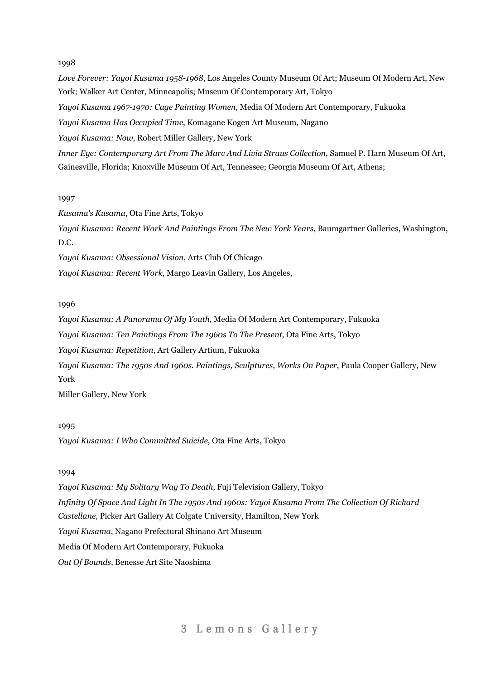*Love Forever: Yayoi Kusama 1958-1968*, Los Angeles County Museum Of Art; Museum Of Modern Art, New York; Walker Art Center, Minneapolis; Museum Of Contemporary Art, Tokyo *Yayoi Kusama 1967-1970: Cage Painting Women*, Media Of Modern Art Contemporary, Fukuoka *Yayoi Kusama Has Occupied Time*, Komagane Kogen Art Museum, Nagano *Yayoi Kusama: Now*, Robert Miller Gallery, New York *Inner Eye: Contemporary Art From The Marc And Livia Straus Collection*, Samuel P. Harn Museum Of Art, Gainesville, Florida; Knoxville Museum Of Art, Tennessee; Georgia Museum Of Art, Athens;

## 1997

*Kusama's Kusama*, Ota Fine Arts, Tokyo

*Yayoi Kusama: Recent Work And Paintings From The New York Years*, Baumgartner Galleries, Washington, D.C.

*Yayoi Kusama: Obsessional Vision*, Arts Club Of Chicago

*Yayoi Kusama: Recent Work*, Margo Leavin Gallery, Los Angeles,

# 1996

*Yayoi Kusama: A Panorama Of My Youth*, Media Of Modern Art Contemporary, Fukuoka *Yayoi Kusama: Ten Paintings From The 1960s To The Present*, Ota Fine Arts, Tokyo *Yayoi Kusama: Repetition*, Art Gallery Artium, Fukuoka *Yayoi Kusama: The 1950s And 1960s. Paintings, Sculptures, Works On Paper*, Paula Cooper Gallery, New York

Miller Gallery, New York

# 1995

*Yayoi Kusama: I Who Committed Suicide*, Ota Fine Arts, Tokyo

# 1994

*Yayoi Kusama: My Solitary Way To Death*, Fuji Television Gallery, Tokyo *Infinity Of Space And Light In The 1950s And 1960s: Yayoi Kusama From The Collection Of Richard Castellane*, Picker Art Gallery At Colgate University, Hamilton, New York *Yayoi Kusama*, Nagano Prefectural Shinano Art Museum Media Of Modern Art Contemporary, Fukuoka *Out Of Bounds*, Benesse Art Site Naoshima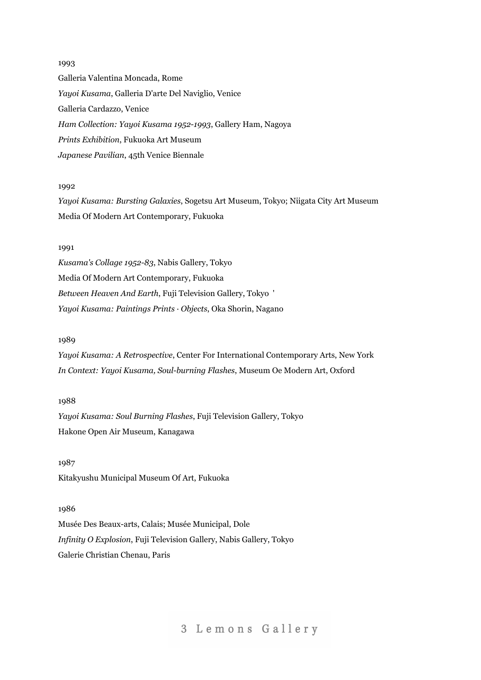1993 Galleria Valentina Moncada, Rome *Yayoi Kusama*, Galleria D'arte Del Naviglio, Venice Galleria Cardazzo, Venice *Ham Collection: Yayoi Kusama 1952-1993*, Gallery Ham, Nagoya *Prints Exhibition*, Fukuoka Art Museum *Japanese Pavilian*, 45th Venice Biennale

# 1992

*Yayoi Kusama: Bursting Galaxies*, Sogetsu Art Museum, Tokyo; Niigata City Art Museum Media Of Modern Art Contemporary, Fukuoka

# 1991

*Kusama's Collage 1952-83*, Nabis Gallery, Tokyo Media Of Modern Art Contemporary, Fukuoka *Between Heaven And Earth*, Fuji Television Gallery, Tokyo ' *Yayoi Kusama: Paintings Prints · Objects*, Oka Shorin, Nagano

# 1989

*Yayoi Kusama: A Retrospective*, Center For International Contemporary Arts, New York *In Context: Yayoi Kusama, Soul-burning Flashes*, Museum Oe Modern Art, Oxford

1988 *Yayoi Kusama: Soul Burning Flashes*, Fuji Television Gallery, Tokyo Hakone Open Air Museum, Kanagawa

1987 Kitakyushu Municipal Museum Of Art, Fukuoka

# 1986

Musée Des Beaux-arts, Calais; Musée Municipal, Dole *Infinity O Explosion*, Fuji Television Gallery, Nabis Gallery, Tokyo Galerie Christian Chenau, Paris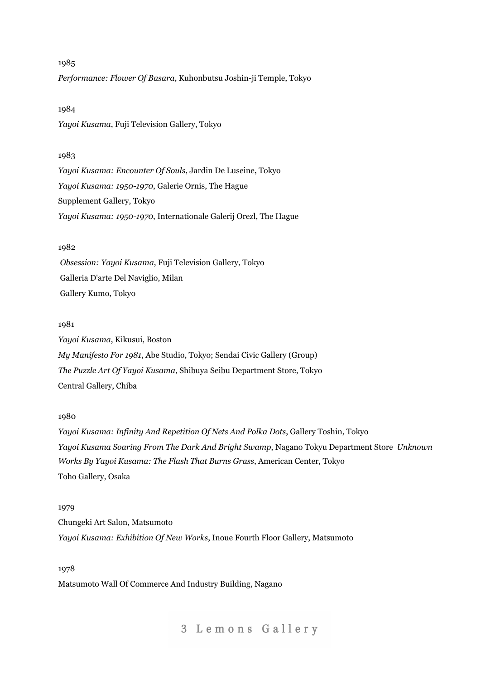1985 *Performance: Flower Of Basara*, Kuhonbutsu Joshin-ji Temple, Tokyo

### 1984

*Yayoi Kusama*, Fuji Television Gallery, Tokyo

# 1983

*Yayoi Kusama: Encounter Of Souls*, Jardin De Luseine, Tokyo *Yayoi Kusama: 1950-1970*, Galerie Ornis, The Hague Supplement Gallery, Tokyo *Yayoi Kusama: 1950-1970*, Internationale Galerij Orezl, The Hague

# 1982

*Obsession: Yayoi Kusama*, Fuji Television Gallery, Tokyo Galleria D'arte Del Naviglio, Milan Gallery Kumo, Tokyo

## 1981

*Yayoi Kusama*, Kikusui, Boston *My Manifesto For 1981*, Abe Studio, Tokyo; Sendai Civic Gallery (Group) *The Puzzle Art Of Yayoi Kusama*, Shibuya Seibu Department Store, Tokyo Central Gallery, Chiba

### 1980

*Yayoi Kusama: Infinity And Repetition Of Nets And Polka Dots*, Gallery Toshin, Tokyo *Yayoi Kusama Soaring From The Dark And Bright Swamp*, Nagano Tokyu Department Store *Unknown Works By Yayoi Kusama: The Flash That Burns Grass*, American Center, Tokyo Toho Gallery, Osaka

## 1979

Chungeki Art Salon, Matsumoto *Yayoi Kusama: Exhibition Of New Works*, Inoue Fourth Floor Gallery, Matsumoto

1978 Matsumoto Wall Of Commerce And Industry Building, Nagano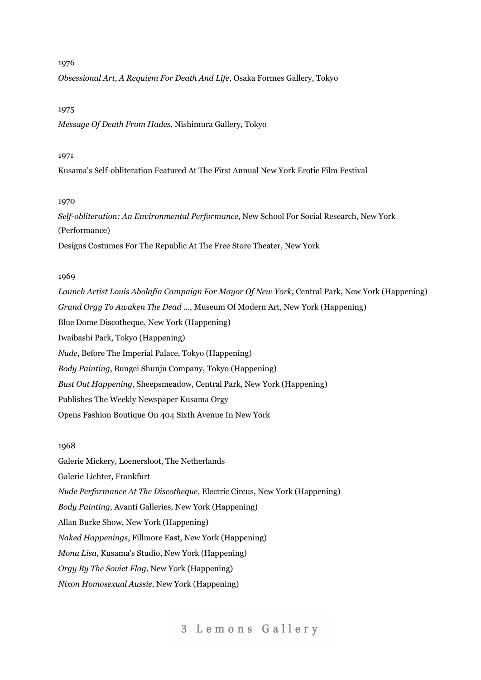*Obsessional Art, A Requiem For Death And Life*, Osaka Formes Gallery, Tokyo

### 1975

*Message Of Death From Hades*, Nishimura Gallery, Tokyo

## 1971

Kusama's Self-obliteration Featured At The First Annual New York Erotic Film Festival

# 1970

*Self-obliteration: An Environmental Performance*, New School For Social Research, New York (Performance) Designs Costumes For The Republic At The Free Store Theater, New York

### 1969

*Launch Artist Louis Abolafia Campaign For Mayor Of New York*, Central Park, New York (Happening) *Grand Orgy To Awaken The Dead ...*, Museum Of Modern Art, New York (Happening) Blue Dome Discotheque, New York (Happening) Iwaibashi Park, Tokyo (Happening) *Nude*, Before The Imperial Palace, Tokyo (Happening) *Body Painting*, Bungei Shunju Company, Tokyo (Happening) *Bust Out Happening*, Sheepsmeadow, Central Park, New York (Happening) Publishes The Weekly Newspaper Kusama Orgy Opens Fashion Boutique On 404 Sixth Avenue In New York

# 1968

Galerie Mickery, Loenersloot, The Netherlands Galerie Lichter, Frankfurt *Nude Performance At The Discotheque*, Electric Circus, New York (Happening) *Body Painting*, Avanti Galleries, New York (Happening) Allan Burke Show, New York (Happening) *Naked Happenings*, Fillmore East, New York (Happening) *Mona Lisa*, Kusama's Studio, New York (Happening) *Orgy By The Soviet Flag*, New York (Happening) *Nixon Homosexual Aussie*, New York (Happening)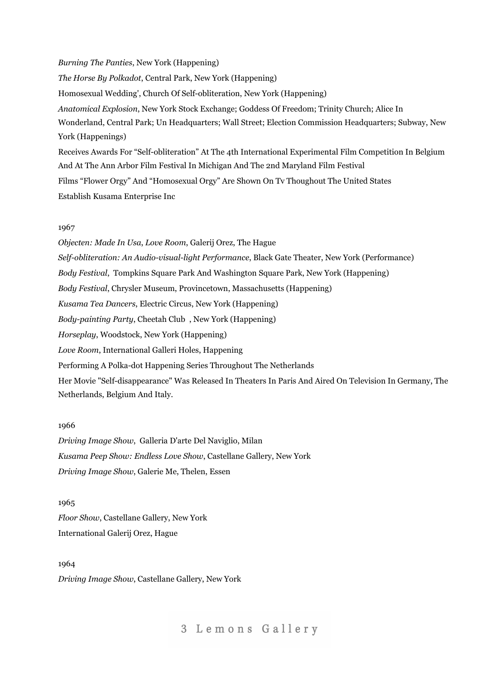# *Burning The Panties*, New York (Happening) *The Horse By Polkadot*, Central Park, New York (Happening) Homosexual Wedding', Church Of Self-obliteration, New York (Happening) *Anatomical Explosion*, New York Stock Exchange; Goddess Of Freedom; Trinity Church; Alice In Wonderland, Central Park; Un Headquarters; Wall Street; Election Commission Headquarters; Subway, New York (Happenings) Receives Awards For "Self-obliteration" At The 4th International Experimental Film Competition In Belgium And At The Ann Arbor Film Festival In Michigan And The 2nd Maryland Film Festival

Films "Flower Orgy" And "Homosexual Orgy" Are Shown On Tv Thoughout The United States Establish Kusama Enterprise Inc

# 1967

*Objecten: Made In Usa*, *Love Room*, Galerij Orez, The Hague *Self-obliteration: An Audio-visual-light Performance*, Black Gate Theater, New York (Performance) *Body Festival*, Tompkins Square Park And Washington Square Park, New York (Happening) *Body Festival*, Chrysler Museum, Provincetown, Massachusetts (Happening) *Kusama Tea Dancers*, Electric Circus, New York (Happening) *Body-painting Party*, Cheetah Club , New York (Happening) *Horseplay*, Woodstock, New York (Happening) *Love Room*, International Galleri Holes, Happening Performing A Polka-dot Happening Series Throughout The Netherlands Her Movie "Self-disappearance" Was Released In Theaters In Paris And Aired On Television In Germany, The Netherlands, Belgium And Italy.

# 1966

*Driving Image Show*, Galleria D'arte Del Naviglio, Milan *Kusama Peep Show: Endless Love Show*, Castellane Gallery, New York *Driving Image Show*, Galerie Me, Thelen, Essen

1965 *Floor Show*, Castellane Gallery, New York International Galerij Orez, Hague

1964 *Driving Image Show*, Castellane Gallery, New York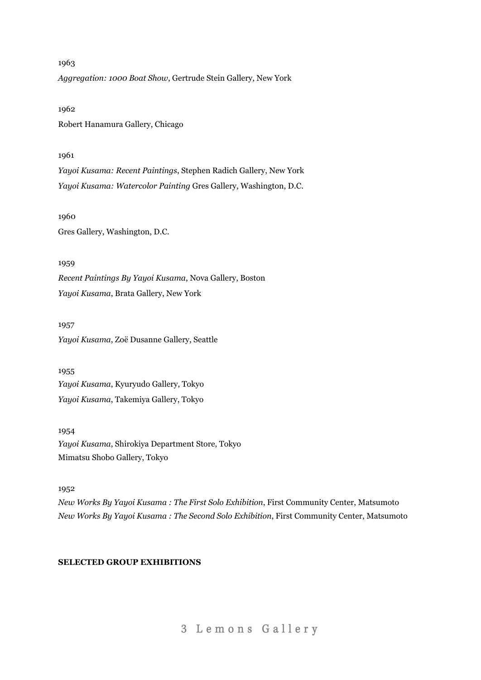1963 *Aggregation: 1000 Boat Show*, Gertrude Stein Gallery, New York

1962 Robert Hanamura Gallery, Chicago

# 1961

*Yayoi Kusama: Recent Paintings*, Stephen Radich Gallery, New York *Yayoi Kusama: Watercolor Painting* Gres Gallery, Washington, D.C.

1960 Gres Gallery, Washington, D.C.

1959

*Recent Paintings By Yayoi Kusama*, Nova Gallery, Boston *Yayoi Kusama*, Brata Gallery, New York

1957 *Yayoi Kusama*, Zoë Dusanne Gallery, Seattle

1955 *Yayoi Kusama*, Kyuryudo Gallery, Tokyo *Yayoi Kusama*, Takemiya Gallery, Tokyo

1954 *Yayoi Kusama*, Shirokiya Department Store, Tokyo Mimatsu Shobo Gallery, Tokyo

1952

*New Works By Yayoi Kusama : The First Solo Exhibition*, First Community Center, Matsumoto *New Works By Yayoi Kusama : The Second Solo Exhibition*, First Community Center, Matsumoto

# **SELECTED GROUP EXHIBITIONS**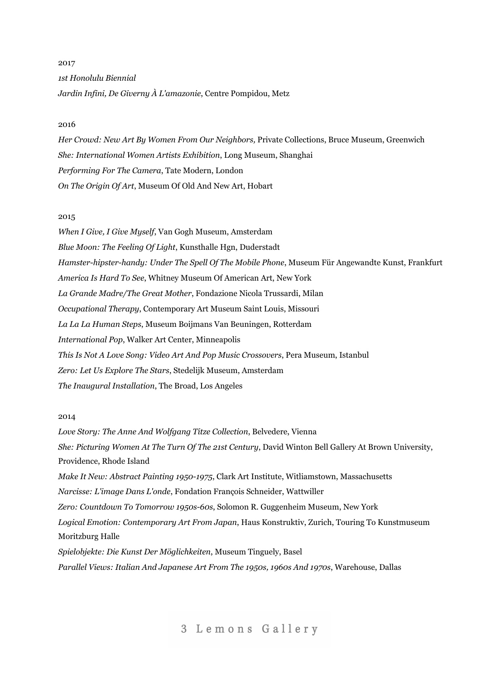# 2017 *1st Honolulu Biennial Jardin Infini, De Giverny À L'amazonie*, Centre Pompidou, Metz

### 2016

*Her Crowd: New Art By Women From Our Neighbors,* Private Collections, Bruce Museum, Greenwich *She: International Women Artists Exhibition*, Long Museum, Shanghai *Performing For The Camera*, Tate Modern, London *On The Origin Of Art*, Museum Of Old And New Art, Hobart

### 2015

*When I Give, I Give Myself*, Van Gogh Museum, Amsterdam *Blue Moon: The Feeling Of Light*, Kunsthalle Hgn, Duderstadt *Hamster-hipster-handy: Under The Spell Of The Mobile Phone*, Museum Für Angewandte Kunst, Frankfurt *America Is Hard To See*, Whitney Museum Of American Art, New York *La Grande Madre/The Great Mother*, Fondazione Nicola Trussardi, Milan *Occupational Therapy*, Contemporary Art Museum Saint Louis, Missouri *La La La Human Steps*, Museum Boijmans Van Beuningen, Rotterdam *International Pop*, Walker Art Center, Minneapolis *This Is Not A Love Song: Video Art And Pop Music Crossovers*, Pera Museum, Istanbul *Zero: Let Us Explore The Stars*, Stedelijk Museum, Amsterdam *The Inaugural Installation*, The Broad, Los Angeles

#### 2014

*Love Story: The Anne And Wolfgang Titze Collection*, Belvedere, Vienna *She: Picturing Women At The Turn Of The 21st Century*, David Winton Bell Gallery At Brown University, Providence, Rhode Island *Make It New: Abstract Painting 1950-1975*, Clark Art Institute, Witliamstown, Massachusetts *Narcisse: L'image Dans L'onde*, Fondation François Schneider, Wattwiller *Zero: Countdown To Tomorrow 1950s-60s*, Solomon R. Guggenheim Museum, New York *Logical Emotion: Contemporary Art From Japan*, Haus Konstruktiv, Zurich, Touring To Kunstmuseum Moritzburg Halle *Spielobjekte: Die Kunst Der Möglichkeiten*, Museum Tinguely, Basel *Parallel Views: Italian And Japanese Art From The 1950s, 1960s And 1970s*, Warehouse, Dallas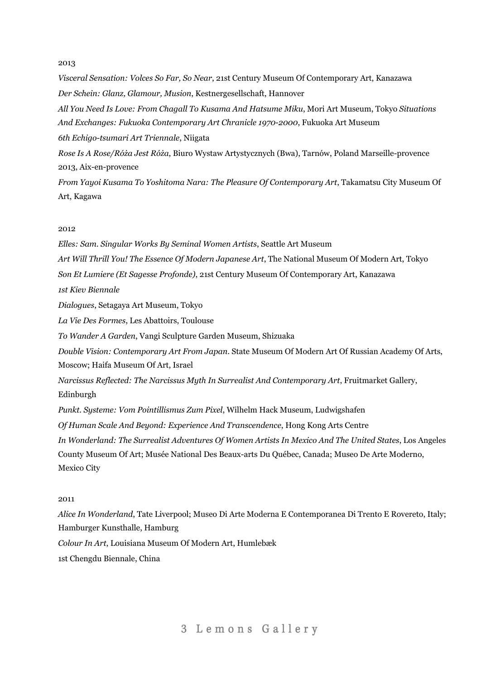*Visceral Sensation: Volces So Far, So Near*, 21st Century Museum Of Contemporary Art, Kanazawa *Der Schein: Glanz, Glamour, Musion*, Kestnergesellschaft, Hannover *All You Need Is Love: From Chagall To Kusama And Hatsume Miku*, Mori Art Museum, Tokyo *Situations And Exchanges: Fukuoka Contemporary Art Chranicle 1970-2000*, Fukuoka Art Museum *6th Echigo-tsumari Art Triennale*, Niigata *Rose Is A Rose/Róża Jest Róża*, Biuro Wystaw Artystycznych (Bwa), Tarnów, Poland Marseille-provence 2013, Aix-en-provence *From Yayoi Kusama To Yoshitoma Nara: The Pleasure Of Contemporary Art*, Takamatsu City Museum Of Art, Kagawa

## 2012

*Elles: Sam. Singular Works By Seminal Women Artists*, Seattle Art Museum *Art Will Thrill You! The Essence Of Modern Japanese Art*, The National Museum Of Modern Art, Tokyo *Son Et Lumiere (Et Sagesse Profonde)*, 21st Century Museum Of Contemporary Art, Kanazawa *1st Kiev Biennale Dialogues*, Setagaya Art Museum, Tokyo *La Vie Des Formes*, Les Abattoirs, Toulouse *To Wander A Garden*, Vangi Sculpture Garden Museum, Shizuaka *Double Vision: Contemporary Art From Japan*. State Museum Of Modern Art Of Russian Academy Of Arts, Moscow; Haifa Museum Of Art, Israel *Narcissus Reflected: The Narcissus Myth In Surrealist And Contemporary Art*, Fruitmarket Gallery, Edinburgh *Punkt. Systeme: Vom Pointillismus Zum Pixel*, Wilhelm Hack Museum, Ludwigshafen *Of Human Scale And Beyond: Experience And Transcendence*, Hong Kong Arts Centre *In Wonderland: The Surrealist Adventures Of Women Artists In Mexico And The United States*, Los Angeles County Museum Of Art; Musée National Des Beaux-arts Du Québec, Canada; Museo De Arte Moderno, Mexico City

# 2011

*Alice In Wonderland*, Tate Liverpool; Museo Di Arte Moderna E Contemporanea Di Trento E Rovereto, Italy; Hamburger Kunsthalle, Hamburg

*Colour In Art*, Louisiana Museum Of Modern Art, Humlebæk

1st Chengdu Biennale, China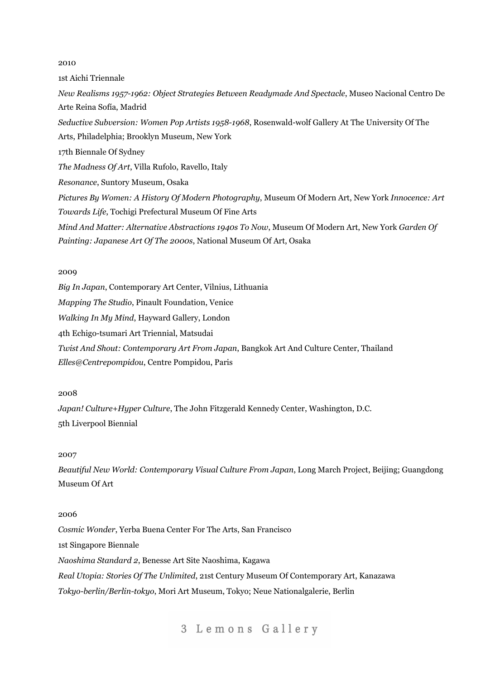1st Aichi Triennale *New Realisms 1957-1962: Object Strategies Between Readymade And Spectacle*, Museo Nacional Centro De Arte Reina Sofía, Madrid *Seductive Subversion: Women Pop Artists 1958-1968*, Rosenwald-wolf Gallery At The University Of The Arts, Philadelphia; Brooklyn Museum, New York 17th Biennale Of Sydney *The Madness Of Art*, Villa Rufolo, Ravello, Italy *Resonance*, Suntory Museum, Osaka *Pictures By Women: A History Of Modern Photography*, Museum Of Modern Art, New York *Innocence: Art Towards Life*, Tochigi Prefectural Museum Of Fine Arts *Mind And Matter: Alternative Abstractions 1940s To Now*, Museum Of Modern Art, New York *Garden Of Painting: Japanese Art Of The 2000s*, National Museum Of Art, Osaka

### 2009

*Big In Japan*, Contemporary Art Center, Vilnius, Lithuania *Mapping The Studio*, Pinault Foundation, Venice *Walking In My Mind*, Hayward Gallery, London 4th Echigo-tsumari Art Triennial, Matsudai *Twist And Shout: Contemporary Art From Japan*, Bangkok Art And Culture Center, Thailand *Elles@Centrepompidou*, Centre Pompidou, Paris

## 2008

*Japan! Culture+Hyper Culture*, The John Fitzgerald Kennedy Center, Washington, D.C. 5th Liverpool Biennial

### 2007

*Beautiful New World: Contemporary Visual Culture From Japan*, Long March Project, Beijing; Guangdong Museum Of Art

### 2006

*Cosmic Wonder*, Yerba Buena Center For The Arts, San Francisco 1st Singapore Biennale *Naoshima Standard 2*, Benesse Art Site Naoshima, Kagawa *Real Utopia: Stories Of The Unlimited*, 21st Century Museum Of Contemporary Art, Kanazawa *Tokyo-berlin/Berlin-tokyo*, Mori Art Museum, Tokyo; Neue Nationalgalerie, Berlin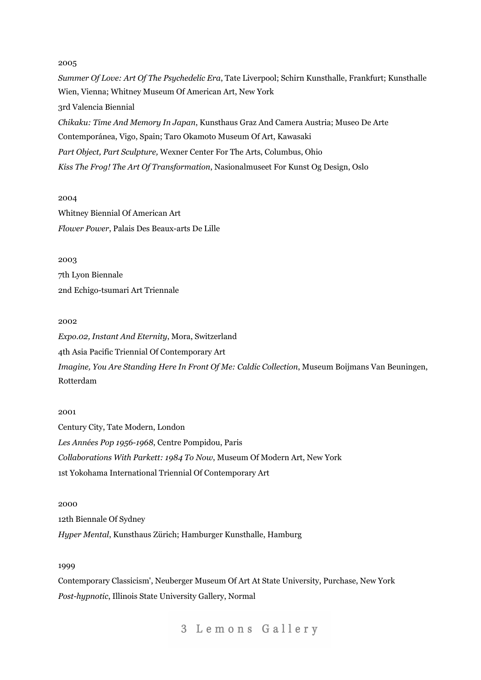*Summer Of Love: Art Of The Psychedelic Era*, Tate Liverpool; Schirn Kunsthalle, Frankfurt; Kunsthalle Wien, Vienna; Whitney Museum Of American Art, New York 3rd Valencia Biennial *Chikaku: Time And Memory In Japan*, Kunsthaus Graz And Camera Austria; Museo De Arte Contemporánea, Vigo, Spain; Taro Okamoto Museum Of Art, Kawasaki *Part Object, Part Sculpture,* Wexner Center For The Arts, Columbus, Ohio *Kiss The Frog! The Art Of Transformation*, Nasionalmuseet For Kunst Og Design, Oslo

2004 Whitney Biennial Of American Art *Flower Power*, Palais Des Beaux-arts De Lille

2003 7th Lyon Biennale 2nd Echigo-tsumari Art Triennale

#### 2002

*Expo.02, Instant And Eternity*, Mora, Switzerland 4th Asia Pacific Triennial Of Contemporary Art *Imagine, You Are Standing Here In Front Of Me: Caldic Collection*, Museum Boijmans Van Beuningen, Rotterdam

# 2001

Century City, Tate Modern, London *Les Années Pop 1956-1968*, Centre Pompidou, Paris *Collaborations With Parkett: 1984 To Now*, Museum Of Modern Art, New York 1st Yokohama International Triennial Of Contemporary Art

2000 12th Biennale Of Sydney *Hyper Mental*, Kunsthaus Zürich; Hamburger Kunsthalle, Hamburg

### 1999

Contemporary Classicism', Neuberger Museum Of Art At State University, Purchase, New York *Post-hypnotic*, Illinois State University Gallery, Normal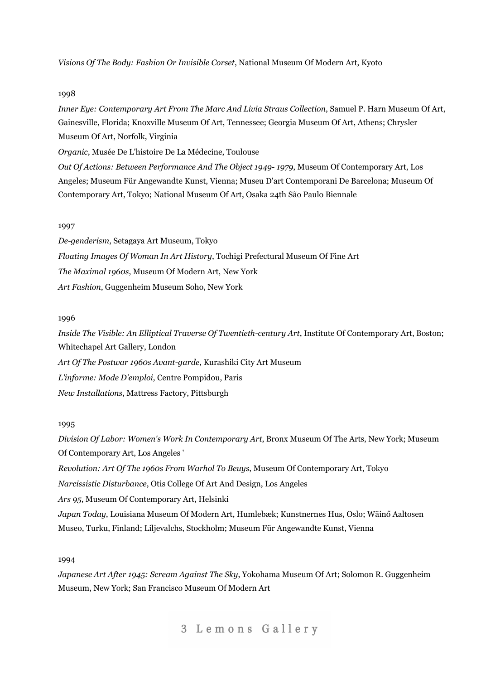*Visions Of The Body: Fashion Or Invisible Corset*, National Museum Of Modern Art, Kyoto

# 1998

*Inner Eye: Contemporary Art From The Marc And Livia Straus Collection*, Samuel P. Harn Museum Of Art, Gainesville, Florida; Knoxville Museum Of Art, Tennessee; Georgia Museum Of Art, Athens; Chrysler Museum Of Art, Norfolk, Virginia

*Organic*, Musée De L'histoire De La Médecine, Toulouse

*Out Of Actions: Between Performance And The Object 1949- 1979*, Museum Of Contemporary Art, Los Angeles; Museum Für Angewandte Kunst, Vienna; Museu D'art Contemporani De Barcelona; Museum Of Contemporary Art, Tokyo; National Museum Of Art, Osaka 24th São Paulo Biennale

# 1997

*De-genderism*, Setagaya Art Museum, Tokyo *Floating Images Of Woman In Art History*, Tochigi Prefectural Museum Of Fine Art *The Maximal 1960s*, Museum Of Modern Art, New York *Art Fashion*, Guggenheim Museum Soho, New York

# 1996

*Inside The Visible: An Elliptical Traverse Of Twentieth-century Art*, Institute Of Contemporary Art, Boston; Whitechapel Art Gallery, London *Art Of The Postwar 1960s Avant-garde*, Kurashiki City Art Museum *L'informe: Mode D'emploi*, Centre Pompidou, Paris

## 1995

*Division Of Labor: Women's Work In Contemporary Art*, Bronx Museum Of The Arts, New York; Museum Of Contemporary Art, Los Angeles '

*Revolution: Art Of The 1960s From Warhol To Beuys*, Museum Of Contemporary Art, Tokyo

*Narcissistic Disturbance*, Otis College Of Art And Design, Los Angeles

*Ars 95*, Museum Of Contemporary Art, Helsinki

*New Installations*, Mattress Factory, Pittsburgh

*Japan Today*, Louisiana Museum Of Modern Art, Humlebæk; Kunstnernes Hus, Oslo; Wäinő Aaltosen Museo, Turku, Finland; Liljevalchs, Stockholm; Museum Für Angewandte Kunst, Vienna

# 1994

*Japanese Art After 1945: Scream Against The Sky*, Yokohama Museum Of Art; Solomon R. Guggenheim Museum, New York; San Francisco Museum Of Modern Art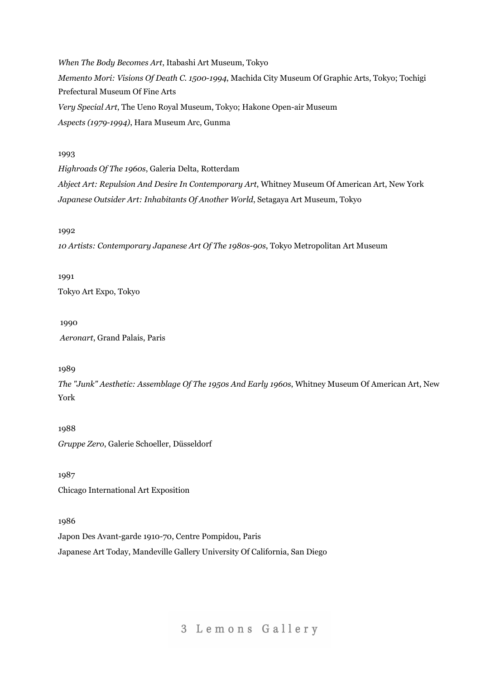*When The Body Becomes Art*, Itabashi Art Museum, Tokyo *Memento Mori: Visions Of Death C. 1500-1994*, Machida City Museum Of Graphic Arts, Tokyo; Tochigi Prefectural Museum Of Fine Arts *Very Special Art*, The Ueno Royal Museum, Tokyo; Hakone Open-air Museum *Aspects (1979-1994)*, Hara Museum Arc, Gunma

## 1993

*Highroads Of The 1960s*, Galeria Delta, Rotterdam

*Abject Art: Repulsion And Desire In Contemporary Art*, Whitney Museum Of American Art, New York *Japanese Outsider Art: Inhabitants Of Another World*, Setagaya Art Museum, Tokyo

1992

*10 Artists: Contemporary Japanese Art Of The 1980s-90s*, Tokyo Metropolitan Art Museum

1991

Tokyo Art Expo, Tokyo

1990 *Aeronart*, Grand Palais, Paris

1989

*The "Junk" Aesthetic: Assemblage Of The 1950s And Early 1960s*, Whitney Museum Of American Art, New York

1988 *Gruppe Zero*, Galerie Schoeller, Düsseldorf

1987 Chicago International Art Exposition

1986

Japon Des Avant-garde 1910-70, Centre Pompidou, Paris Japanese Art Today, Mandeville Gallery University Of California, San Diego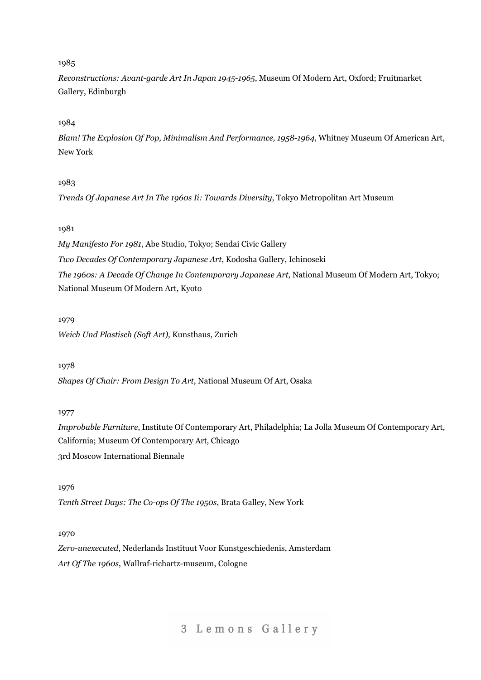*Reconstructions: Avant-garde Art In Japan 1945-1965*, Museum Of Modern Art, Oxford; Fruitmarket Gallery, Edinburgh

# 1984

*Blam! The Explosion Of Pop, Minimalism And Performance, 1958-1964*, Whitney Museum Of American Art, New York

# 1983

*Trends Of Japanese Art In The 1960s Ii: Towards Diversity*, Tokyo Metropolitan Art Museum

# 1981

*My Manifesto For 1981*, Abe Studio, Tokyo; Sendai Civic Gallery *Two Decades Of Contemporary Japanese Art*, Kodosha Gallery, Ichinoseki *The 1960s: A Decade Of Change In Contemporary Japanese Art*, National Museum Of Modern Art, Tokyo; National Museum Of Modern Art, Kyoto

# 1979

*Weich Und Plastisch (Soft Art)*, Kunsthaus, Zurich

# 1978

*Shapes Of Chair: From Design To Art*, National Museum Of Art, Osaka

# 1977

*Improbable Furniture*, Institute Of Contemporary Art, Philadelphia; La Jolla Museum Of Contemporary Art, California; Museum Of Contemporary Art, Chicago 3rd Moscow International Biennale

1976 *Tenth Street Days: The Co-ops Of The 1950s*, Brata Galley, New York

# 1970

*Zero-unexecuted*, Nederlands Instituut Voor Kunstgeschiedenis, Amsterdam *Art Of The 1960s*, Wallraf-richartz-museum, Cologne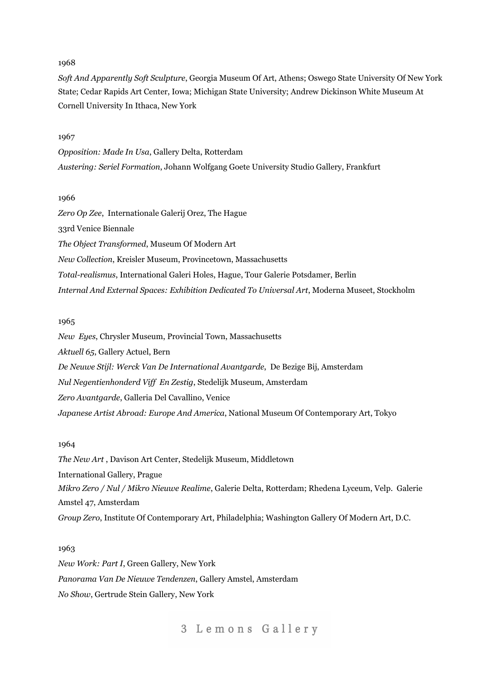*Soft And Apparently Soft Sculpture*, Georgia Museum Of Art, Athens; Oswego State University Of New York State; Cedar Rapids Art Center, Iowa; Michigan State University; Andrew Dickinson White Museum At Cornell University In Ithaca, New York

# 1967

*Opposition: Made In Usa*, Gallery Delta, Rotterdam *Austering: Seriel Formation*, Johann Wolfgang Goete University Studio Gallery, Frankfurt

# 1966

*Zero Op Zee*, Internationale Galerij Orez, The Hague 33rd Venice Biennale *The Object Transformed*, Museum Of Modern Art *New Collection*, Kreisler Museum, Provincetown, Massachusetts *Total-realismus*, International Galeri Holes, Hague, Tour Galerie Potsdamer, Berlin *Internal And External Spaces: Exhibition Dedicated To Universal Art*, Moderna Museet, Stockholm

### 1965

*New Eyes*, Chrysler Museum, Provincial Town, Massachusetts *Aktuell 65*, Gallery Actuel, Bern *De Neuwe Stijl: Werck Van De International Avantgarde*, De Bezige Bij, Amsterdam *Nul Negentienhonderd Vif En Zestig*, Stedelijk Museum, Amsterdam *Zero Avantgarde*, Galleria Del Cavallino, Venice *Japanese Artist Abroad: Europe And America*, National Museum Of Contemporary Art, Tokyo

## 1964

*The New Art* , Davison Art Center, Stedelijk Museum, Middletown International Gallery, Prague *Mikro Zero / Nul / Mikro Nieuwe Realime*, Galerie Delta, Rotterdam; Rhedena Lyceum, Velp. Galerie Amstel 47, Amsterdam *Group Zero*, Institute Of Contemporary Art, Philadelphia; Washington Gallery Of Modern Art, D.C.

## 1963

*New Work: Part I*, Green Gallery, New York *Panorama Van De Nieuwe Tendenzen*, Gallery Amstel, Amsterdam *No Show*, Gertrude Stein Gallery, New York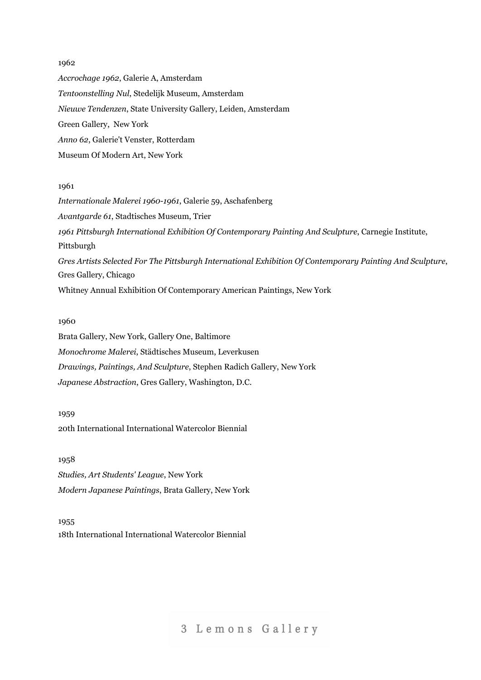*Accrochage 1962*, Galerie A, Amsterdam *Tentoonstelling Nul*, Stedelijk Museum, Amsterdam *Nieuwe Tendenzen*, State University Gallery, Leiden, Amsterdam Green Gallery, New York *Anno 62*, Galerie't Venster, Rotterdam Museum Of Modern Art, New York

## 1961

*Internationale Malerei 1960-1961*, Galerie 59, Aschafenberg *Avantgarde 61*, Stadtisches Museum, Trier *1961 Pittsburgh International Exhibition Of Contemporary Painting And Sculpture*, Carnegie Institute, Pittsburgh *Gres Artists Selected For The Pittsburgh International Exhibition Of Contemporary Painting And Sculpture*, Gres Gallery, Chicago Whitney Annual Exhibition Of Contemporary American Paintings, New York

# 1960

Brata Gallery, New York, Gallery One, Baltimore *Monochrome Malerei*, Städtisches Museum, Leverkusen *Drawings, Paintings, And Sculpture*, Stephen Radich Gallery, New York *Japanese Abstraction*, Gres Gallery, Washington, D.C.

1959 20th International International Watercolor Biennial

1958 *Studies, Art Students' League*, New York *Modern Japanese Paintings*, Brata Gallery, New York

1955 18th International International Watercolor Biennial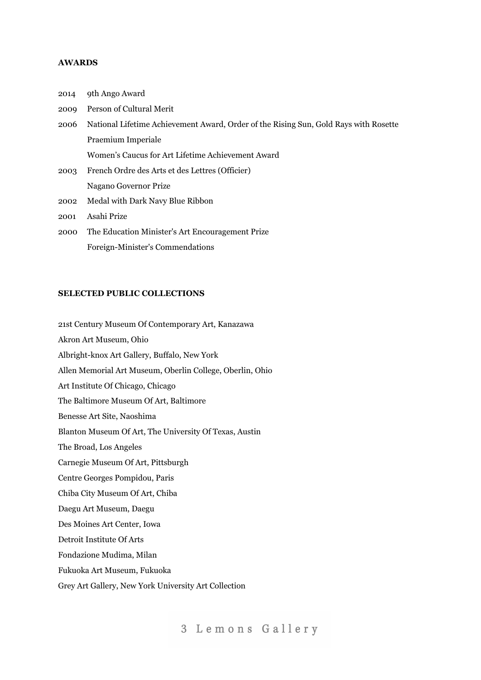# **AWARDS**

| 2014 | 9th Ango Award                                                                       |
|------|--------------------------------------------------------------------------------------|
| 2009 | Person of Cultural Merit                                                             |
| 2006 | National Lifetime Achievement Award, Order of the Rising Sun, Gold Rays with Rosette |
|      | Praemium Imperiale                                                                   |
|      | Women's Caucus for Art Lifetime Achievement Award                                    |
| 2003 | French Ordre des Arts et des Lettres (Officier)                                      |
|      | Nagano Governor Prize                                                                |
| 2002 | Medal with Dark Navy Blue Ribbon                                                     |
| 2001 | Asahi Prize                                                                          |
| 2000 | The Education Minister's Art Encouragement Prize                                     |
|      |                                                                                      |

### **SELECTED PUBLIC COLLECTIONS**

21st Century Museum Of Contemporary Art, Kanazawa

Foreign-Minister's Commendations

Akron Art Museum, Ohio Albright-knox Art Gallery, Buffalo, New York Allen Memorial Art Museum, Oberlin College, Oberlin, Ohio Art Institute Of Chicago, Chicago The Baltimore Museum Of Art, Baltimore Benesse Art Site, Naoshima Blanton Museum Of Art, The University Of Texas, Austin The Broad, Los Angeles Carnegie Museum Of Art, Pittsburgh Centre Georges Pompidou, Paris Chiba City Museum Of Art, Chiba Daegu Art Museum, Daegu Des Moines Art Center, Iowa Detroit Institute Of Arts Fondazione Mudima, Milan Fukuoka Art Museum, Fukuoka Grey Art Gallery, New York University Art Collection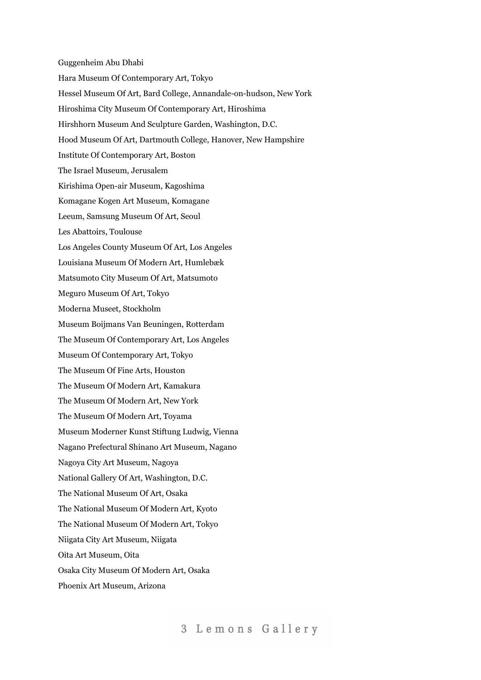Guggenheim Abu Dhabi Hara Museum Of Contemporary Art, Tokyo Hessel Museum Of Art, Bard College, Annandale-on-hudson, New York Hiroshima City Museum Of Contemporary Art, Hiroshima Hirshhorn Museum And Sculpture Garden, Washington, D.C. Hood Museum Of Art, Dartmouth College, Hanover, New Hampshire Institute Of Contemporary Art, Boston The Israel Museum, Jerusalem Kirishima Open-air Museum, Kagoshima Komagane Kogen Art Museum, Komagane Leeum, Samsung Museum Of Art, Seoul Les Abattoirs, Toulouse Los Angeles County Museum Of Art, Los Angeles Louisiana Museum Of Modern Art, Humlebæk Matsumoto City Museum Of Art, Matsumoto Meguro Museum Of Art, Tokyo Moderna Museet, Stockholm Museum Boijmans Van Beuningen, Rotterdam The Museum Of Contemporary Art, Los Angeles Museum Of Contemporary Art, Tokyo The Museum Of Fine Arts, Houston The Museum Of Modern Art, Kamakura The Museum Of Modern Art, New York The Museum Of Modern Art, Toyama Museum Moderner Kunst Stiftung Ludwig, Vienna Nagano Prefectural Shinano Art Museum, Nagano Nagoya City Art Museum, Nagoya National Gallery Of Art, Washington, D.C. The National Museum Of Art, Osaka The National Museum Of Modern Art, Kyoto The National Museum Of Modern Art, Tokyo Niigata City Art Museum, Niigata Oita Art Museum, Oita Osaka City Museum Of Modern Art, Osaka Phoenix Art Museum, Arizona